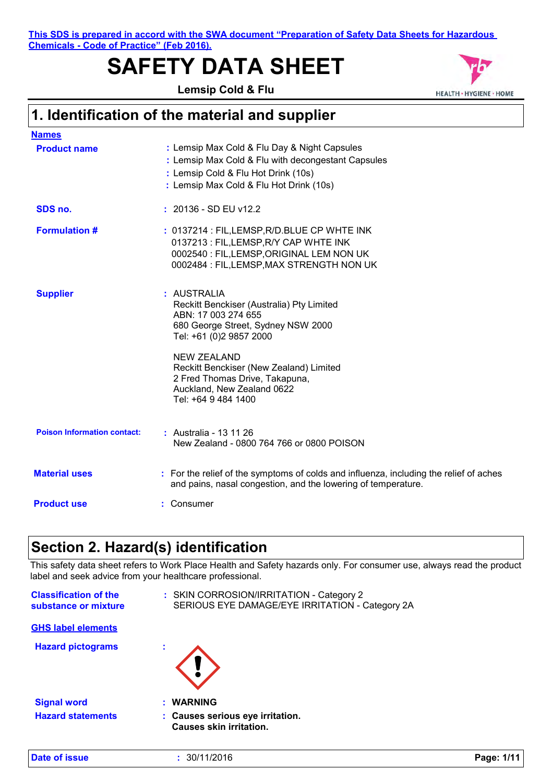**This SDS is prepared in accord with the SWA document "Preparation of Safety Data Sheets for Hazardous Chemicals - Code of Practice" (Feb 2016).**

# **SAFETY DATA SHEET**

**Lemsip Cold & Flu**



## **1. Identification of the material and supplier**

| <u>Names</u>                       |                                                                                                                                                                                                                                                                                                          |
|------------------------------------|----------------------------------------------------------------------------------------------------------------------------------------------------------------------------------------------------------------------------------------------------------------------------------------------------------|
| <b>Product name</b>                | : Lemsip Max Cold & Flu Day & Night Capsules<br>: Lemsip Max Cold & Flu with decongestant Capsules<br>: Lemsip Cold & Flu Hot Drink (10s)<br>: Lemsip Max Cold & Flu Hot Drink (10s)                                                                                                                     |
| SDS no.                            | $: 20136 - SD EU v12.2$                                                                                                                                                                                                                                                                                  |
| <b>Formulation #</b>               | : 0137214 : FIL, LEMSP, R/D. BLUE CP WHTE INK<br>0137213 : FIL, LEMSP, R/Y CAP WHTE INK<br>0002540 : FIL, LEMSP, ORIGINAL LEM NON UK<br>0002484 : FIL, LEMSP, MAX STRENGTH NON UK                                                                                                                        |
| <b>Supplier</b>                    | : AUSTRALIA<br>Reckitt Benckiser (Australia) Pty Limited<br>ABN: 17 003 274 655<br>680 George Street, Sydney NSW 2000<br>Tel: +61 (0)2 9857 2000<br><b>NEW ZEALAND</b><br>Reckitt Benckiser (New Zealand) Limited<br>2 Fred Thomas Drive, Takapuna,<br>Auckland, New Zealand 0622<br>Tel: +64 9 484 1400 |
| <b>Poison Information contact:</b> | : Australia - 13 11 26<br>New Zealand - 0800 764 766 or 0800 POISON                                                                                                                                                                                                                                      |
| <b>Material uses</b>               | : For the relief of the symptoms of colds and influenza, including the relief of aches<br>and pains, nasal congestion, and the lowering of temperature.                                                                                                                                                  |
| <b>Product use</b>                 | : Consumer                                                                                                                                                                                                                                                                                               |
|                                    |                                                                                                                                                                                                                                                                                                          |

## **Section 2. Hazard(s) identification**

This safety data sheet refers to Work Place Health and Safety hazards only. For consumer use, always read the product label and seek advice from your healthcare professional.

| <b>Classification of the</b><br>substance or mixture | : SKIN CORROSION/IRRITATION - Category 2<br>SERIOUS EYE DAMAGE/EYE IRRITATION - Category 2A |
|------------------------------------------------------|---------------------------------------------------------------------------------------------|
| <b>GHS label elements</b>                            |                                                                                             |
| <b>Hazard pictograms</b>                             | ٠                                                                                           |
| <b>Signal word</b>                                   | <b>WARNING</b>                                                                              |
| <b>Hazard statements</b>                             | : Causes serious eye irritation.<br><b>Causes skin irritation.</b>                          |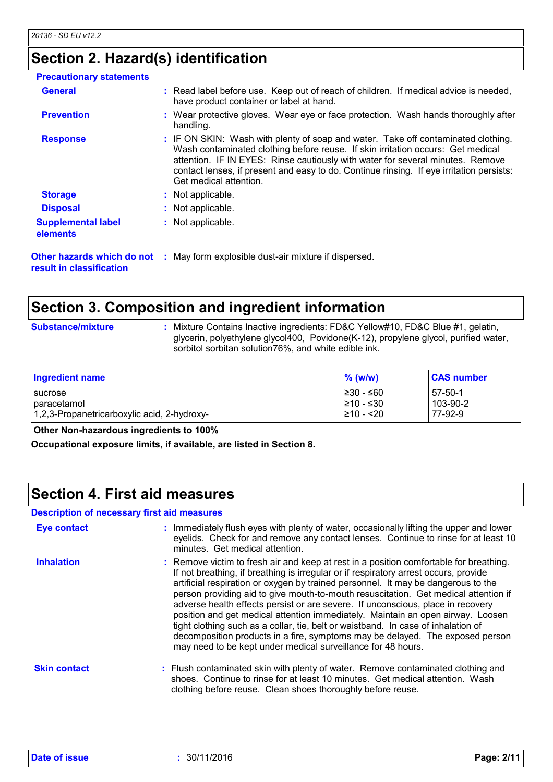## **Section 2. Hazard(s) identification**

| <b>Precautionary statements</b>                        |                                                                                                                                                                                                                                                                                                                                                                              |
|--------------------------------------------------------|------------------------------------------------------------------------------------------------------------------------------------------------------------------------------------------------------------------------------------------------------------------------------------------------------------------------------------------------------------------------------|
| <b>General</b>                                         | : Read label before use. Keep out of reach of children. If medical advice is needed,<br>have product container or label at hand.                                                                                                                                                                                                                                             |
| <b>Prevention</b>                                      | : Wear protective gloves. Wear eye or face protection. Wash hands thoroughly after<br>handling.                                                                                                                                                                                                                                                                              |
| <b>Response</b>                                        | : IF ON SKIN: Wash with plenty of soap and water. Take off contaminated clothing.<br>Wash contaminated clothing before reuse. If skin irritation occurs: Get medical<br>attention. IF IN EYES: Rinse cautiously with water for several minutes. Remove<br>contact lenses, if present and easy to do. Continue rinsing. If eye irritation persists:<br>Get medical attention. |
| <b>Storage</b>                                         | : Not applicable.                                                                                                                                                                                                                                                                                                                                                            |
| <b>Disposal</b>                                        | : Not applicable.                                                                                                                                                                                                                                                                                                                                                            |
| <b>Supplemental label</b><br>elements                  | : Not applicable.                                                                                                                                                                                                                                                                                                                                                            |
| Other hazards which do not<br>result in classification | : May form explosible dust-air mixture if dispersed.                                                                                                                                                                                                                                                                                                                         |

## **Section 3. Composition and ingredient information**

**Substance/mixture :**

: Mixture Contains Inactive ingredients: FD&C Yellow#10, FD&C Blue #1, gelatin, glycerin, polyethylene glycol400, Povidone(K-12), propylene glycol, purified water, sorbitol sorbitan solution76%, and white edible ink.

| <b>Ingredient name</b>                      | $\%$ (w/w) | <b>CAS number</b> |
|---------------------------------------------|------------|-------------------|
| <b>I</b> sucrose                            | l≥30 - ≤60 | $57-50-1$         |
| paracetamol                                 | l≥10 - ≤30 | 103-90-2          |
| 1,2,3-Propanetricarboxylic acid, 2-hydroxy- | 210 - <20  | 77-92-9           |

 **Other Non-hazardous ingredients to 100%**

**Occupational exposure limits, if available, are listed in Section 8.**

### **Section 4. First aid measures**

#### **Description of necessary first aid measures**

| Eye contact         | : Immediately flush eyes with plenty of water, occasionally lifting the upper and lower<br>eyelids. Check for and remove any contact lenses. Continue to rinse for at least 10<br>minutes. Get medical attention.                                                                                                                                                                                                                                                                                                                                                                                                                                                                                                                                                      |
|---------------------|------------------------------------------------------------------------------------------------------------------------------------------------------------------------------------------------------------------------------------------------------------------------------------------------------------------------------------------------------------------------------------------------------------------------------------------------------------------------------------------------------------------------------------------------------------------------------------------------------------------------------------------------------------------------------------------------------------------------------------------------------------------------|
| <b>Inhalation</b>   | : Remove victim to fresh air and keep at rest in a position comfortable for breathing.<br>If not breathing, if breathing is irregular or if respiratory arrest occurs, provide<br>artificial respiration or oxygen by trained personnel. It may be dangerous to the<br>person providing aid to give mouth-to-mouth resuscitation. Get medical attention if<br>adverse health effects persist or are severe. If unconscious, place in recovery<br>position and get medical attention immediately. Maintain an open airway. Loosen<br>tight clothing such as a collar, tie, belt or waistband. In case of inhalation of<br>decomposition products in a fire, symptoms may be delayed. The exposed person<br>may need to be kept under medical surveillance for 48 hours. |
| <b>Skin contact</b> | : Flush contaminated skin with plenty of water. Remove contaminated clothing and<br>shoes. Continue to rinse for at least 10 minutes. Get medical attention. Wash<br>clothing before reuse. Clean shoes thoroughly before reuse.                                                                                                                                                                                                                                                                                                                                                                                                                                                                                                                                       |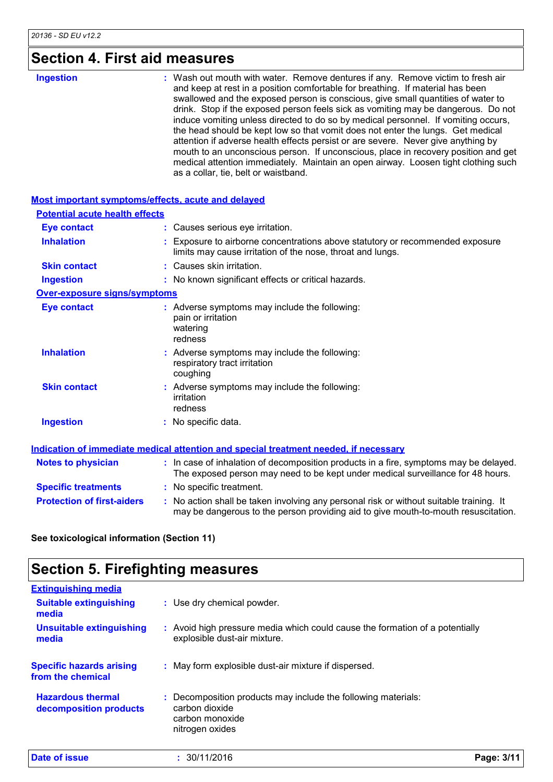## **Section 4. First aid measures**

| <b>Ingestion</b> | : Wash out mouth with water. Remove dentures if any. Remove victim to fresh air<br>and keep at rest in a position comfortable for breathing. If material has been<br>swallowed and the exposed person is conscious, give small quantities of water to<br>drink. Stop if the exposed person feels sick as vomiting may be dangerous. Do not<br>induce vomiting unless directed to do so by medical personnel. If vomiting occurs,<br>the head should be kept low so that vomit does not enter the lungs. Get medical<br>attention if adverse health effects persist or are severe. Never give anything by<br>mouth to an unconscious person. If unconscious, place in recovery position and get<br>medical attention immediately. Maintain an open airway. Loosen tight clothing such<br>as a collar, tie, belt or waistband. |
|------------------|------------------------------------------------------------------------------------------------------------------------------------------------------------------------------------------------------------------------------------------------------------------------------------------------------------------------------------------------------------------------------------------------------------------------------------------------------------------------------------------------------------------------------------------------------------------------------------------------------------------------------------------------------------------------------------------------------------------------------------------------------------------------------------------------------------------------------|
|                  |                                                                                                                                                                                                                                                                                                                                                                                                                                                                                                                                                                                                                                                                                                                                                                                                                              |

| <b>Most important symptoms/effects, acute and delayed</b> |                                                                                                                                                                               |
|-----------------------------------------------------------|-------------------------------------------------------------------------------------------------------------------------------------------------------------------------------|
| <b>Potential acute health effects</b>                     |                                                                                                                                                                               |
| <b>Eye contact</b>                                        | : Causes serious eye irritation.                                                                                                                                              |
| <b>Inhalation</b>                                         | : Exposure to airborne concentrations above statutory or recommended exposure<br>limits may cause irritation of the nose, throat and lungs.                                   |
| <b>Skin contact</b>                                       | : Causes skin irritation.                                                                                                                                                     |
| <b>Ingestion</b>                                          | : No known significant effects or critical hazards.                                                                                                                           |
| <b>Over-exposure signs/symptoms</b>                       |                                                                                                                                                                               |
| <b>Eye contact</b>                                        | : Adverse symptoms may include the following:<br>pain or irritation<br>watering<br>redness                                                                                    |
| <b>Inhalation</b>                                         | : Adverse symptoms may include the following:<br>respiratory tract irritation<br>coughing                                                                                     |
| <b>Skin contact</b>                                       | : Adverse symptoms may include the following:<br>irritation<br>redness                                                                                                        |
| <b>Ingestion</b>                                          | : No specific data.                                                                                                                                                           |
|                                                           | Indication of immediate medical attention and special treatment needed, if necessary                                                                                          |
| <b>Notes to physician</b>                                 | : In case of inhalation of decomposition products in a fire, symptoms may be delayed.<br>The exposed person may need to be kept under medical surveillance for 48 hours.      |
| <b>Specific treatments</b>                                | : No specific treatment.                                                                                                                                                      |
| <b>Protection of first-aiders</b>                         | : No action shall be taken involving any personal risk or without suitable training. It<br>may be dangerous to the person providing aid to give mouth-to-mouth resuscitation. |

**See toxicological information (Section 11)**

# **Section 5. Firefighting measures**

| <b>Extinguishing media</b>                           |                                                                                                                     |            |
|------------------------------------------------------|---------------------------------------------------------------------------------------------------------------------|------------|
| <b>Suitable extinguishing</b><br>media               | : Use dry chemical powder.                                                                                          |            |
| <b>Unsuitable extinguishing</b><br>media             | : Avoid high pressure media which could cause the formation of a potentially<br>explosible dust-air mixture.        |            |
| <b>Specific hazards arising</b><br>from the chemical | : May form explosible dust-air mixture if dispersed.                                                                |            |
| <b>Hazardous thermal</b><br>decomposition products   | Decomposition products may include the following materials:<br>carbon dioxide<br>carbon monoxide<br>nitrogen oxides |            |
| <b>Date of issue</b>                                 | : 30/11/2016                                                                                                        | Page: 3/11 |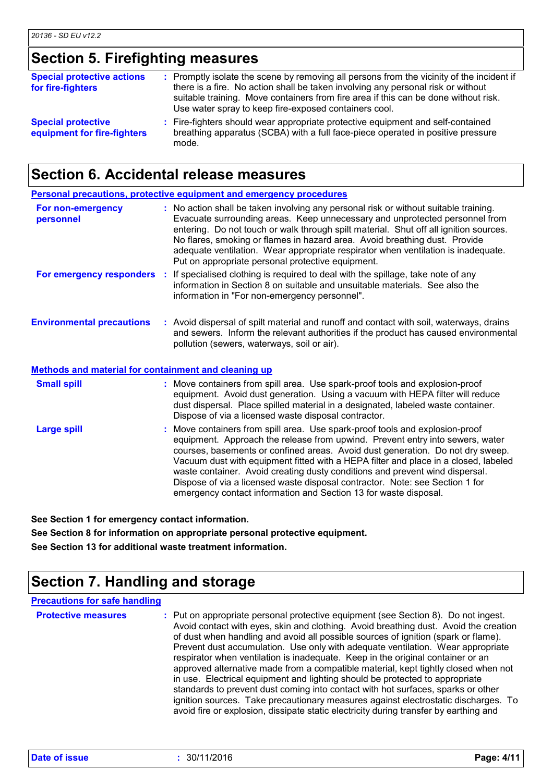## **Section 5. Firefighting measures**

| <b>Special protective actions</b><br>for fire-fighters   | : Promptly isolate the scene by removing all persons from the vicinity of the incident if<br>there is a fire. No action shall be taken involving any personal risk or without<br>suitable training. Move containers from fire area if this can be done without risk.<br>Use water spray to keep fire-exposed containers cool. |
|----------------------------------------------------------|-------------------------------------------------------------------------------------------------------------------------------------------------------------------------------------------------------------------------------------------------------------------------------------------------------------------------------|
| <b>Special protective</b><br>equipment for fire-fighters | : Fire-fighters should wear appropriate protective equipment and self-contained<br>breathing apparatus (SCBA) with a full face-piece operated in positive pressure<br>mode.                                                                                                                                                   |

## **Section 6. Accidental release measures**

|                                                                                                 | <b>Personal precautions, protective equipment and emergency procedures</b>                                                                                                                                                                                                                                                                                                                                                                                                                                                                                               |
|-------------------------------------------------------------------------------------------------|--------------------------------------------------------------------------------------------------------------------------------------------------------------------------------------------------------------------------------------------------------------------------------------------------------------------------------------------------------------------------------------------------------------------------------------------------------------------------------------------------------------------------------------------------------------------------|
| For non-emergency<br>personnel                                                                  | : No action shall be taken involving any personal risk or without suitable training.<br>Evacuate surrounding areas. Keep unnecessary and unprotected personnel from<br>entering. Do not touch or walk through spilt material. Shut off all ignition sources.<br>No flares, smoking or flames in hazard area. Avoid breathing dust. Provide<br>adequate ventilation. Wear appropriate respirator when ventilation is inadequate.<br>Put on appropriate personal protective equipment.                                                                                     |
| For emergency responders :                                                                      | If specialised clothing is required to deal with the spillage, take note of any<br>information in Section 8 on suitable and unsuitable materials. See also the<br>information in "For non-emergency personnel".                                                                                                                                                                                                                                                                                                                                                          |
| <b>Environmental precautions</b><br><b>Methods and material for containment and cleaning up</b> | : Avoid dispersal of spilt material and runoff and contact with soil, waterways, drains<br>and sewers. Inform the relevant authorities if the product has caused environmental<br>pollution (sewers, waterways, soil or air).                                                                                                                                                                                                                                                                                                                                            |
|                                                                                                 |                                                                                                                                                                                                                                                                                                                                                                                                                                                                                                                                                                          |
| <b>Small spill</b>                                                                              | : Move containers from spill area. Use spark-proof tools and explosion-proof<br>equipment. Avoid dust generation. Using a vacuum with HEPA filter will reduce<br>dust dispersal. Place spilled material in a designated, labeled waste container.<br>Dispose of via a licensed waste disposal contractor.                                                                                                                                                                                                                                                                |
| <b>Large spill</b>                                                                              | Move containers from spill area. Use spark-proof tools and explosion-proof<br>equipment. Approach the release from upwind. Prevent entry into sewers, water<br>courses, basements or confined areas. Avoid dust generation. Do not dry sweep.<br>Vacuum dust with equipment fitted with a HEPA filter and place in a closed, labeled<br>waste container. Avoid creating dusty conditions and prevent wind dispersal.<br>Dispose of via a licensed waste disposal contractor. Note: see Section 1 for<br>emergency contact information and Section 13 for waste disposal. |

**See Section 1 for emergency contact information.**

**See Section 8 for information on appropriate personal protective equipment. See Section 13 for additional waste treatment information.**

## **Section 7. Handling and storage**

| <b>Precautions for safe handling</b> |                                                                                                                                                                                                                                                                                                                                                                                                                                                                                                                                                                                                                                                                                                                                                                                                                                                                                 |
|--------------------------------------|---------------------------------------------------------------------------------------------------------------------------------------------------------------------------------------------------------------------------------------------------------------------------------------------------------------------------------------------------------------------------------------------------------------------------------------------------------------------------------------------------------------------------------------------------------------------------------------------------------------------------------------------------------------------------------------------------------------------------------------------------------------------------------------------------------------------------------------------------------------------------------|
| <b>Protective measures</b>           | : Put on appropriate personal protective equipment (see Section 8). Do not ingest.<br>Avoid contact with eyes, skin and clothing. Avoid breathing dust. Avoid the creation<br>of dust when handling and avoid all possible sources of ignition (spark or flame).<br>Prevent dust accumulation. Use only with adequate ventilation. Wear appropriate<br>respirator when ventilation is inadequate. Keep in the original container or an<br>approved alternative made from a compatible material, kept tightly closed when not<br>in use. Electrical equipment and lighting should be protected to appropriate<br>standards to prevent dust coming into contact with hot surfaces, sparks or other<br>ignition sources. Take precautionary measures against electrostatic discharges. To<br>avoid fire or explosion, dissipate static electricity during transfer by earthing and |
|                                      |                                                                                                                                                                                                                                                                                                                                                                                                                                                                                                                                                                                                                                                                                                                                                                                                                                                                                 |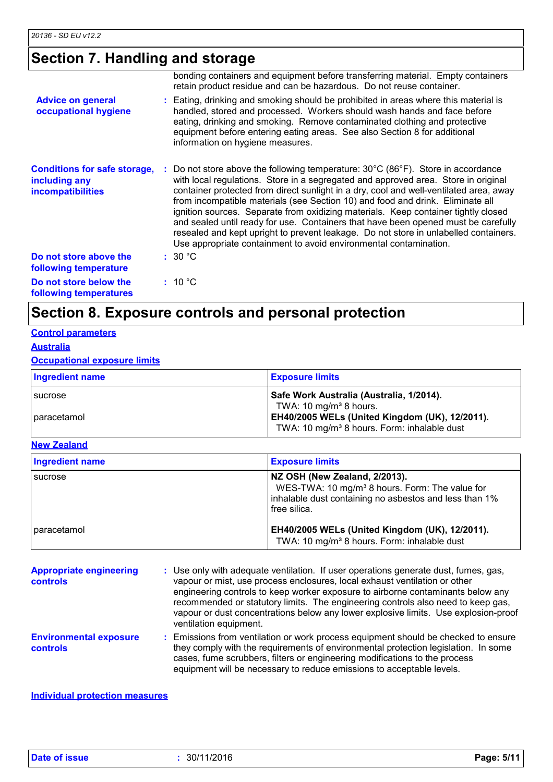## **Section 7. Handling and storage**

|                                                                                  | bonding containers and equipment before transferring material. Empty containers<br>retain product residue and can be hazardous. Do not reuse container.                                                                                                                                                                                                                                                                                                                                                                                                                                                                                                                                                        |
|----------------------------------------------------------------------------------|----------------------------------------------------------------------------------------------------------------------------------------------------------------------------------------------------------------------------------------------------------------------------------------------------------------------------------------------------------------------------------------------------------------------------------------------------------------------------------------------------------------------------------------------------------------------------------------------------------------------------------------------------------------------------------------------------------------|
| <b>Advice on general</b><br>occupational hygiene                                 | : Eating, drinking and smoking should be prohibited in areas where this material is<br>handled, stored and processed. Workers should wash hands and face before<br>eating, drinking and smoking. Remove contaminated clothing and protective<br>equipment before entering eating areas. See also Section 8 for additional<br>information on hygiene measures.                                                                                                                                                                                                                                                                                                                                                  |
| <b>Conditions for safe storage,</b><br>including any<br><b>incompatibilities</b> | Do not store above the following temperature: $30^{\circ}$ C (86 $^{\circ}$ F). Store in accordance<br>with local regulations. Store in a segregated and approved area. Store in original<br>container protected from direct sunlight in a dry, cool and well-ventilated area, away<br>from incompatible materials (see Section 10) and food and drink. Eliminate all<br>ignition sources. Separate from oxidizing materials. Keep container tightly closed<br>and sealed until ready for use. Containers that have been opened must be carefully<br>resealed and kept upright to prevent leakage. Do not store in unlabelled containers.<br>Use appropriate containment to avoid environmental contamination. |
| Do not store above the<br>following temperature                                  | : 30 °C                                                                                                                                                                                                                                                                                                                                                                                                                                                                                                                                                                                                                                                                                                        |
| Do not store below the<br>following temperatures                                 | : 10 °C                                                                                                                                                                                                                                                                                                                                                                                                                                                                                                                                                                                                                                                                                                        |

## **Section 8. Exposure controls and personal protection**

#### **Control parameters**

#### **Australia**

#### **Occupational exposure limits**

| Ingredient name | <b>Exposure limits</b>                                                               |
|-----------------|--------------------------------------------------------------------------------------|
| I sucrose       | Safe Work Australia (Australia, 1/2014).                                             |
| I paracetamol   | TWA: 10 mg/m <sup>3</sup> 8 hours.<br>EH40/2005 WELs (United Kingdom (UK), 12/2011). |
|                 | TWA: 10 mg/m <sup>3</sup> 8 hours. Form: inhalable dust                              |

#### **New Zealand**

| <b>Ingredient name</b> | <b>Exposure limits</b>                                                                                                                                                |
|------------------------|-----------------------------------------------------------------------------------------------------------------------------------------------------------------------|
| sucrose                | NZ OSH (New Zealand, 2/2013).<br>WES-TWA: 10 mg/m <sup>3</sup> 8 hours. Form: The value for<br>inhalable dust containing no asbestos and less than 1%<br>free silica. |
| I paracetamol          | EH40/2005 WELs (United Kingdom (UK), 12/2011).<br>TWA: 10 mg/m <sup>3</sup> 8 hours. Form: inhalable dust                                                             |

| <b>Appropriate engineering</b><br><b>controls</b> | : Use only with adequate ventilation. If user operations generate dust, fumes, gas,<br>vapour or mist, use process enclosures, local exhaust ventilation or other<br>engineering controls to keep worker exposure to airborne contaminants below any<br>recommended or statutory limits. The engineering controls also need to keep gas,<br>vapour or dust concentrations below any lower explosive limits. Use explosion-proof<br>ventilation equipment. |
|---------------------------------------------------|-----------------------------------------------------------------------------------------------------------------------------------------------------------------------------------------------------------------------------------------------------------------------------------------------------------------------------------------------------------------------------------------------------------------------------------------------------------|
| <b>Environmental exposure</b><br><b>controls</b>  | : Emissions from ventilation or work process equipment should be checked to ensure<br>they comply with the requirements of environmental protection legislation. In some<br>cases, fume scrubbers, filters or engineering modifications to the process<br>equipment will be necessary to reduce emissions to acceptable levels.                                                                                                                           |

#### **Individual protection measures**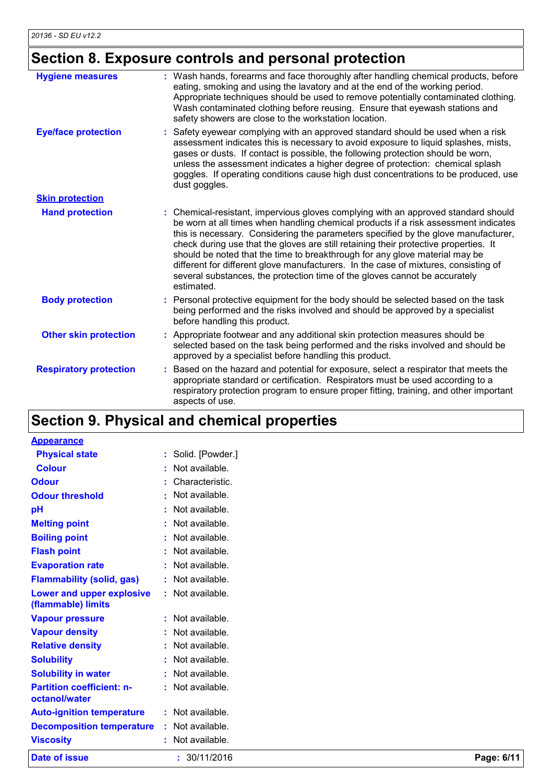## **Section 8. Exposure controls and personal protection**

| <b>Hygiene measures</b>       | : Wash hands, forearms and face thoroughly after handling chemical products, before<br>eating, smoking and using the lavatory and at the end of the working period.<br>Appropriate techniques should be used to remove potentially contaminated clothing.<br>Wash contaminated clothing before reusing. Ensure that eyewash stations and<br>safety showers are close to the workstation location.                                                                                                                                                                                                                       |
|-------------------------------|-------------------------------------------------------------------------------------------------------------------------------------------------------------------------------------------------------------------------------------------------------------------------------------------------------------------------------------------------------------------------------------------------------------------------------------------------------------------------------------------------------------------------------------------------------------------------------------------------------------------------|
| <b>Eye/face protection</b>    | Safety eyewear complying with an approved standard should be used when a risk<br>assessment indicates this is necessary to avoid exposure to liquid splashes, mists,<br>gases or dusts. If contact is possible, the following protection should be worn,<br>unless the assessment indicates a higher degree of protection: chemical splash<br>goggles. If operating conditions cause high dust concentrations to be produced, use<br>dust goggles.                                                                                                                                                                      |
| <b>Skin protection</b>        |                                                                                                                                                                                                                                                                                                                                                                                                                                                                                                                                                                                                                         |
| <b>Hand protection</b>        | Chemical-resistant, impervious gloves complying with an approved standard should<br>be worn at all times when handling chemical products if a risk assessment indicates<br>this is necessary. Considering the parameters specified by the glove manufacturer,<br>check during use that the gloves are still retaining their protective properties. It<br>should be noted that the time to breakthrough for any glove material may be<br>different for different glove manufacturers. In the case of mixtures, consisting of<br>several substances, the protection time of the gloves cannot be accurately<br>estimated. |
| <b>Body protection</b>        | Personal protective equipment for the body should be selected based on the task<br>being performed and the risks involved and should be approved by a specialist<br>before handling this product.                                                                                                                                                                                                                                                                                                                                                                                                                       |
| <b>Other skin protection</b>  | Appropriate footwear and any additional skin protection measures should be<br>selected based on the task being performed and the risks involved and should be<br>approved by a specialist before handling this product.                                                                                                                                                                                                                                                                                                                                                                                                 |
| <b>Respiratory protection</b> | Based on the hazard and potential for exposure, select a respirator that meets the<br>appropriate standard or certification. Respirators must be used according to a<br>respiratory protection program to ensure proper fitting, training, and other important<br>aspects of use.                                                                                                                                                                                                                                                                                                                                       |

## **Section 9. Physical and chemical properties**

| Date of issue                                     | : 30/11/2016       | Page: 6/11 |
|---------------------------------------------------|--------------------|------------|
| <b>Viscosity</b>                                  | : Not available.   |            |
| <b>Decomposition temperature</b>                  | : Not available.   |            |
| <b>Auto-ignition temperature</b>                  | $:$ Not available. |            |
| <b>Partition coefficient: n-</b><br>octanol/water | : Not available.   |            |
| <b>Solubility in water</b>                        | $:$ Not available. |            |
| <b>Solubility</b>                                 | : Not available.   |            |
| <b>Relative density</b>                           | : Not available.   |            |
| <b>Vapour density</b>                             | : Not available.   |            |
| <b>Vapour pressure</b>                            | : Not available.   |            |
| Lower and upper explosive<br>(flammable) limits   | : Not available.   |            |
| <b>Flammability (solid, gas)</b>                  | : Not available.   |            |
| <b>Evaporation rate</b>                           | $:$ Not available. |            |
| <b>Flash point</b>                                | : Not available.   |            |
| <b>Boiling point</b>                              | : Not available.   |            |
| <b>Melting point</b>                              | : Not available.   |            |
| pH                                                | $:$ Not available. |            |
| <b>Odour threshold</b>                            | : Not available.   |            |
| <b>Odour</b>                                      | : Characteristic.  |            |
| <b>Colour</b>                                     | $:$ Not available. |            |
| <b>Physical state</b>                             | : Solid. [Powder.] |            |
| <b>Appearance</b>                                 |                    |            |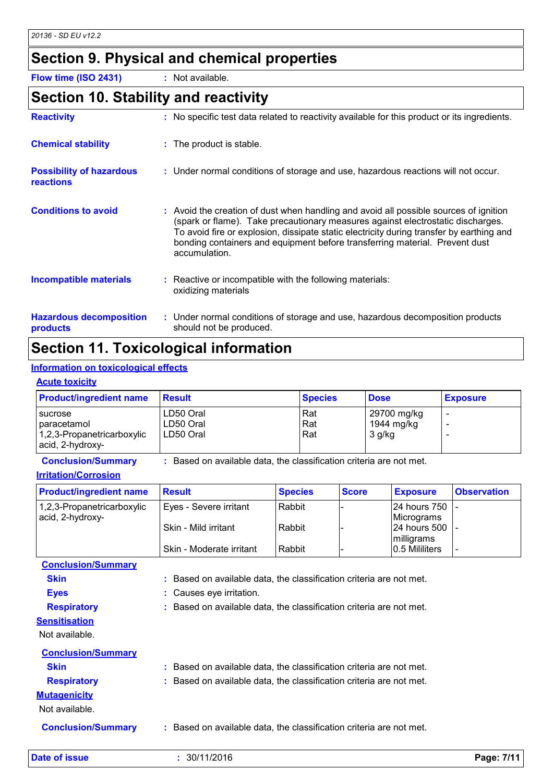## **Section 9. Physical and chemical properties**

**Flow time (ISO 2431) :** Not available.

### **Section 10. Stability and reactivity**

| <b>Reactivity</b>                            | : No specific test data related to reactivity available for this product or its ingredients.                                                                                                                                                                                                                                                                         |
|----------------------------------------------|----------------------------------------------------------------------------------------------------------------------------------------------------------------------------------------------------------------------------------------------------------------------------------------------------------------------------------------------------------------------|
| <b>Chemical stability</b>                    | : The product is stable.                                                                                                                                                                                                                                                                                                                                             |
| <b>Possibility of hazardous</b><br>reactions | : Under normal conditions of storage and use, hazardous reactions will not occur.                                                                                                                                                                                                                                                                                    |
| <b>Conditions to avoid</b>                   | : Avoid the creation of dust when handling and avoid all possible sources of ignition<br>(spark or flame). Take precautionary measures against electrostatic discharges.<br>To avoid fire or explosion, dissipate static electricity during transfer by earthing and<br>bonding containers and equipment before transferring material. Prevent dust<br>accumulation. |
| <b>Incompatible materials</b>                | $\therefore$ Reactive or incompatible with the following materials:<br>oxidizing materials                                                                                                                                                                                                                                                                           |
| <b>Hazardous decomposition</b><br>products   | : Under normal conditions of storage and use, hazardous decomposition products<br>should not be produced.                                                                                                                                                                                                                                                            |

## **Section 11. Toxicological information**

#### **Information on toxicological effects**

#### **Acute toxicity**

| <b>Product/ingredient name</b>                                             | <b>Result</b>                       | <b>Species</b>    | <b>Dose</b>                         | <b>Exposure</b> |
|----------------------------------------------------------------------------|-------------------------------------|-------------------|-------------------------------------|-----------------|
| sucrose<br>I paracetamol<br>1,2,3-Propanetricarboxylic<br>acid, 2-hydroxy- | LD50 Oral<br>LD50 Oral<br>LD50 Oral | Rat<br>Rat<br>Rat | 29700 mg/kg<br>1944 mg/kg<br>3 g/kg |                 |

**Conclusion/Summary :** Based on available data, the classification criteria are not met.

#### **Irritation/Corrosion**

| <b>Product/ingredient name</b> | <b>Result</b>            | <b>Species</b> | <b>Score</b> | <b>Exposure</b> | <b>Observation</b> |
|--------------------------------|--------------------------|----------------|--------------|-----------------|--------------------|
| 1,2,3-Propanetricarboxylic     | Eyes - Severe irritant   | Rabbit         |              | 24 hours 750  - |                    |
| acid, 2-hydroxy-               |                          |                |              | Micrograms      |                    |
|                                | Skin - Mild irritant     | Rabbit         |              | 24 hours 500    |                    |
|                                |                          |                |              | milligrams      |                    |
|                                | Skin - Moderate irritant | Rabbit         |              | 0.5 Mililiters  |                    |

**Conclusion/Summary**

| Skin |  | : Based on available data, the classification criteria are not met. |  |
|------|--|---------------------------------------------------------------------|--|
|------|--|---------------------------------------------------------------------|--|

- **Eyes :** Causes eye irritation.
- **Respiratory :** Based on available data, the classification criteria are not met.

Not available.

| <b>Conclusion/Summary</b> |                                                                     |
|---------------------------|---------------------------------------------------------------------|
| <b>Skin</b>               | : Based on available data, the classification criteria are not met. |
| <b>Respiratory</b>        | : Based on available data, the classification criteria are not met. |
| <b>Mutagenicity</b>       |                                                                     |
| Not available.            |                                                                     |
| <b>Conclusion/Summary</b> | : Based on available data, the classification criteria are not met. |

**Date of issue :** 30/11/2016 **Page: 7/11**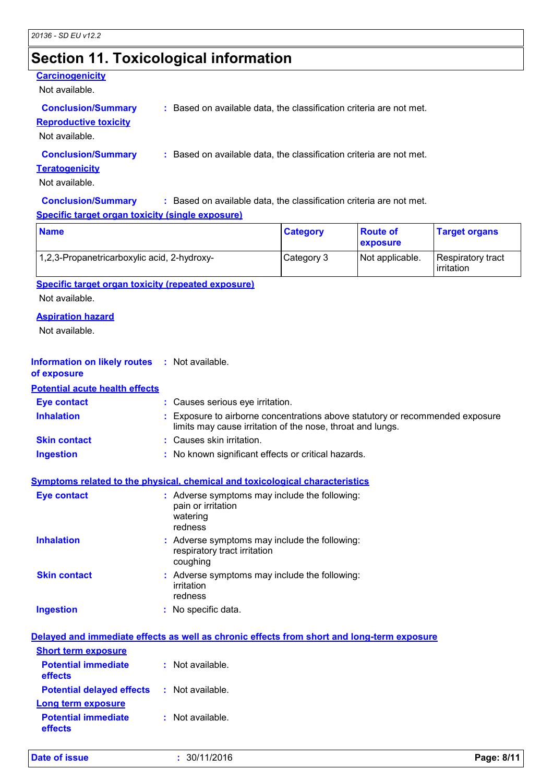## **Section 11. Toxicological information**

#### **Carcinogenicity**

Not available.

**Conclusion/Summary :** Based on available data, the classification criteria are not met.

**Reproductive toxicity**

Not available.

**Conclusion/Summary :** Based on available data, the classification criteria are not met.

#### **Teratogenicity**

Not available.

**Conclusion/Summary :** Based on available data, the classification criteria are not met.

#### **Specific target organ toxicity (single exposure)**

| <b>Name</b>                                 | <b>Category</b> | <b>Route of</b><br>exposure | <b>Target organs</b>            |
|---------------------------------------------|-----------------|-----------------------------|---------------------------------|
| 1,2,3-Propanetricarboxylic acid, 2-hydroxy- | Category 3      | Not applicable.             | Respiratory tract<br>irritation |

**Specific target organ toxicity (repeated exposure)**

Not available.

#### **Aspiration hazard**

Not available.

| <b>Information on likely routes</b> | $\cdot$ : Not available. |  |
|-------------------------------------|--------------------------|--|
|-------------------------------------|--------------------------|--|

#### **of exposure**

**Inhalation :** Exposure to airborne concentrations above statutory or recommended exposure limits may cause irritation of the nose, throat and lungs. **Ingestion :** No known significant effects or critical hazards. **Skin contact :** Causes skin irritation. **Eye contact :** Causes serious eye irritation. **Potential acute health effects**

#### **Symptoms related to the physical, chemical and toxicological characteristics**

| Eye contact         | : Adverse symptoms may include the following:<br>pain or irritation<br>watering<br>redness |
|---------------------|--------------------------------------------------------------------------------------------|
| <b>Inhalation</b>   | : Adverse symptoms may include the following:<br>respiratory tract irritation<br>coughing  |
| <b>Skin contact</b> | : Adverse symptoms may include the following:<br>irritation<br>redness                     |
| <b>Ingestion</b>    | : No specific data.                                                                        |

|                                                   | Delayed and immediate effects as well as chronic effects from short and long-term exposure |
|---------------------------------------------------|--------------------------------------------------------------------------------------------|
| <b>Short term exposure</b>                        |                                                                                            |
| <b>Potential immediate</b><br>effects             | : Not available.                                                                           |
| <b>Potential delayed effects : Not available.</b> |                                                                                            |
| Long term exposure                                |                                                                                            |
| <b>Potential immediate</b><br>effects             | : Not available.                                                                           |

| Date of issue | 30/11/2016 | Page: 8/11 |
|---------------|------------|------------|
|---------------|------------|------------|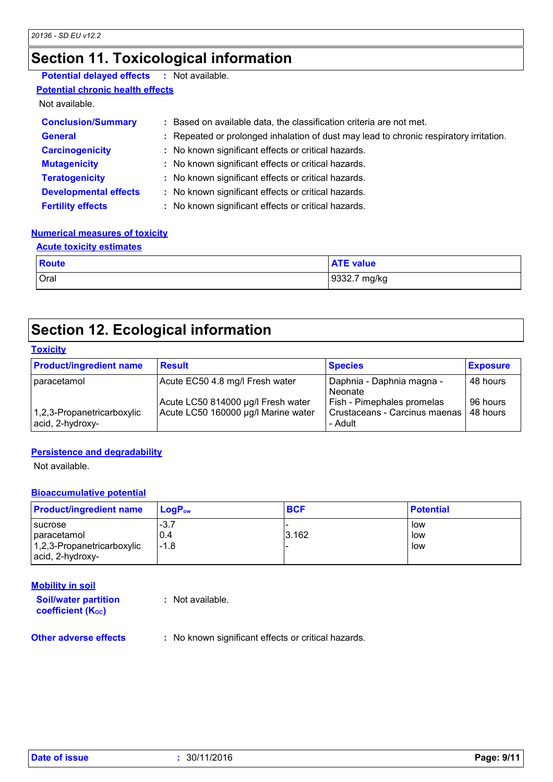## **Section 11. Toxicological information**

### **Potential delayed effects :** Not available.

**Potential chronic health effects**

Not available.

| <b>Conclusion/Summary</b>    | : Based on available data, the classification criteria are not met.                    |
|------------------------------|----------------------------------------------------------------------------------------|
| <b>General</b>               | : Repeated or prolonged inhalation of dust may lead to chronic respiratory irritation. |
| <b>Carcinogenicity</b>       | : No known significant effects or critical hazards.                                    |
| <b>Mutagenicity</b>          | : No known significant effects or critical hazards.                                    |
| <b>Teratogenicity</b>        | : No known significant effects or critical hazards.                                    |
| <b>Developmental effects</b> | : No known significant effects or critical hazards.                                    |
| <b>Fertility effects</b>     | : No known significant effects or critical hazards.                                    |

#### **Numerical measures of toxicity**

| <b>Acute toxicity estimates</b> |                  |  |
|---------------------------------|------------------|--|
| Route                           | <b>ATE</b> value |  |
| Oral                            | 9332.7 mg/kg     |  |

## **Section 12. Ecological information**

#### **Toxicity**

| <b>Product/ingredient name</b>                 | <b>Result</b>                                                             | <b>Species</b>                                                           | <b>Exposure</b>      |
|------------------------------------------------|---------------------------------------------------------------------------|--------------------------------------------------------------------------|----------------------|
| paracetamol                                    | Acute EC50 4.8 mg/l Fresh water                                           | Daphnia - Daphnia magna -<br>Neonate                                     | 48 hours             |
| 1,2,3-Propanetricarboxylic<br>acid, 2-hydroxy- | Acute LC50 814000 µg/l Fresh water<br>Acute LC50 160000 µg/l Marine water | Fish - Pimephales promelas<br>Crustaceans - Carcinus maenas  <br>- Adult | 96 hours<br>48 hours |

#### **Persistence and degradability**

Not available.

#### **Bioaccumulative potential**

| <b>Product/ingredient name</b>                                                      | $\blacksquare$ Loq $\mathsf{P}_\mathsf{ow}$ | <b>BCF</b> | <b>Potential</b>  |
|-------------------------------------------------------------------------------------|---------------------------------------------|------------|-------------------|
| I sucrose<br><i>I</i> paracetamol<br>1,2,3-Propanetricarboxylic<br>acid, 2-hydroxy- | $-3.7$<br>0.4<br>$-1.8$                     | 3.162      | low<br>low<br>low |

#### **Mobility in soil**

**Soil/water partition coefficient (KOC)**

**:** Not available.

**Other adverse effects** : No known significant effects or critical hazards.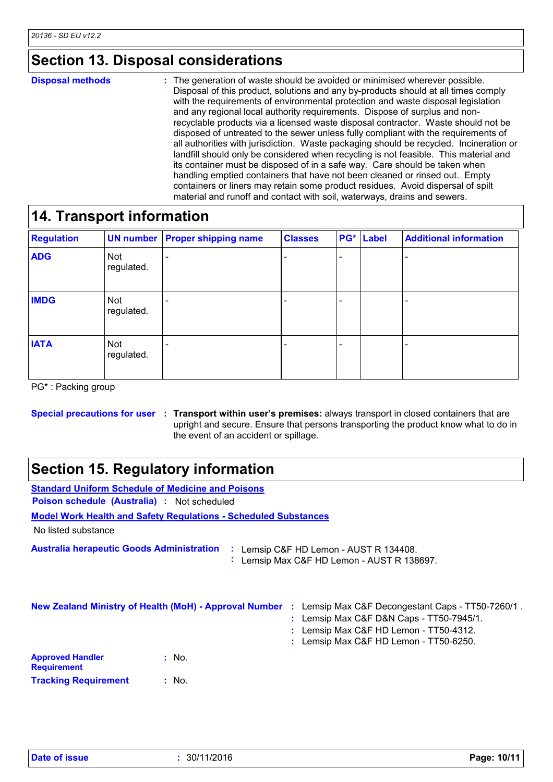## **Section 13. Disposal considerations**

The generation of waste should be avoided or minimised wherever possible. Disposal of this product, solutions and any by-products should at all times comply with the requirements of environmental protection and waste disposal legislation and any regional local authority requirements. Dispose of surplus and nonrecyclable products via a licensed waste disposal contractor. Waste should not be disposed of untreated to the sewer unless fully compliant with the requirements of all authorities with jurisdiction. Waste packaging should be recycled. Incineration or landfill should only be considered when recycling is not feasible. This material and its container must be disposed of in a safe way. Care should be taken when handling emptied containers that have not been cleaned or rinsed out. Empty containers or liners may retain some product residues. Avoid dispersal of spilt material and runoff and contact with soil, waterways, drains and sewers. **Disposal methods :**

## **14. Transport information**

| <b>Regulation</b> |                   | <b>UN number Proper shipping name</b> | <b>Classes</b> | PG* | <b>Label</b> | <b>Additional information</b> |
|-------------------|-------------------|---------------------------------------|----------------|-----|--------------|-------------------------------|
| <b>ADG</b>        | Not<br>regulated. |                                       |                | -   |              |                               |
| <b>IMDG</b>       | Not<br>regulated. |                                       |                | -   |              |                               |
| <b>IATA</b>       | Not<br>regulated. |                                       |                | -   |              |                               |

PG\* : Packing group

#### **Special precautions for user Transport within user's premises:** always transport in closed containers that are **:** upright and secure. Ensure that persons transporting the product know what to do in the event of an accident or spillage.

## **Section 15. Regulatory information**

| <b>Standard Uniform Schedule of Medicine and Poisons</b> |                                                                                                                                                                                                                                                 |
|----------------------------------------------------------|-------------------------------------------------------------------------------------------------------------------------------------------------------------------------------------------------------------------------------------------------|
| <b>Poison schedule (Australia)</b> : Not scheduled       |                                                                                                                                                                                                                                                 |
|                                                          | <b>Model Work Health and Safety Requiations - Scheduled Substances</b>                                                                                                                                                                          |
| No listed substance                                      |                                                                                                                                                                                                                                                 |
| <b>Australia herapeutic Goods Administration</b>         | Lemsip C&F HD Lemon - AUST R 134408.<br>: Lemsip Max C&F HD Lemon - AUST R 138697.                                                                                                                                                              |
|                                                          | <b>New Zealand Ministry of Health (MoH) - Approval Number</b><br>Lemsip Max C&F Decongestant Caps - TT50-7260/1.<br>÷<br>Lemsip Max C&F D&N Caps - TT50-7945/1.<br>Lemsip Max C&F HD Lemon - TT50-4312.<br>Lemsip Max C&F HD Lemon - TT50-6250. |
| <b>Approved Handler</b><br><b>Requirement</b>            | $:$ No.                                                                                                                                                                                                                                         |
| <b>Tracking Requirement</b>                              | : No.                                                                                                                                                                                                                                           |